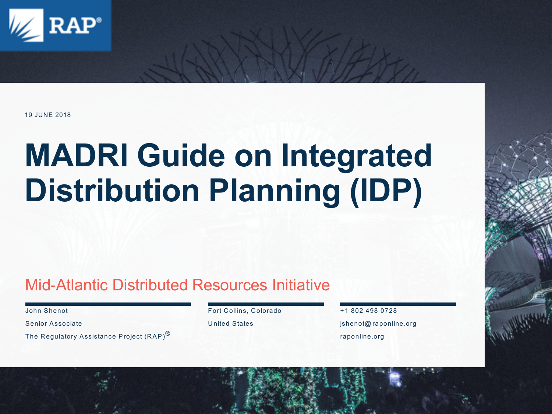

#### 19 JUNE 2018

### **MADRI Guide on Integrated Distribution Planning (IDP)**

#### Mid-Atlantic Distributed Resources Initiative

John Shenot

Senior Associate

The Regulatory Assistance Project (RAP)<sup>®</sup>

Fort Collins, Colorado

United States

+1 802 498 0728 jshenot@ raponline.org raponline.org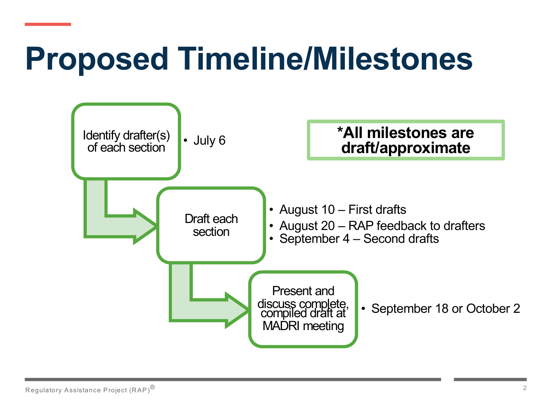### **Proposed Timeline/Milestones**

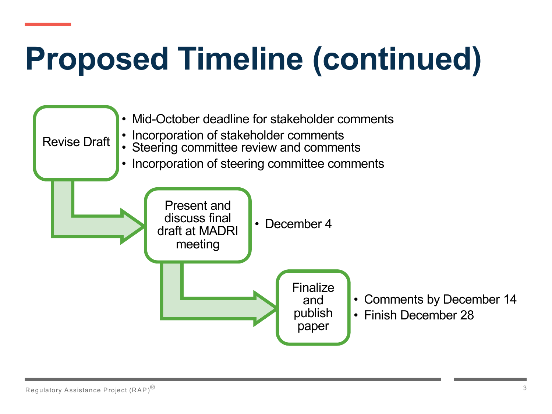## **Proposed Timeline (continued)**

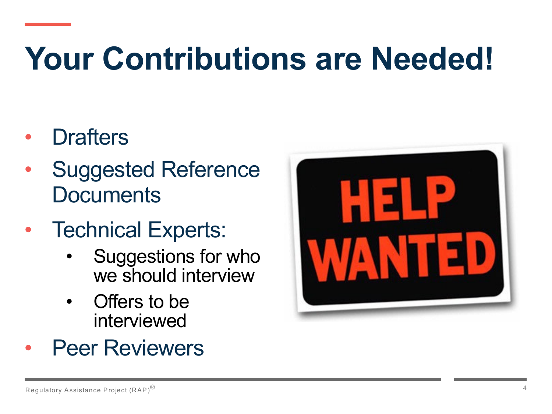## **Your Contributions are Needed!**

- **Drafters**
- Suggested Reference **Documents**
- Technical Experts:
	- Suggestions for who we should interview
	- Offers to be interviewed



**Peer Reviewers**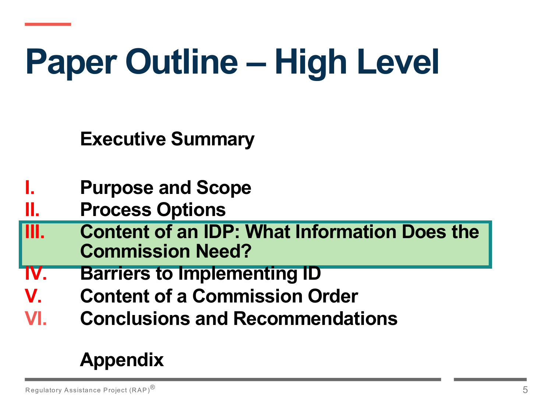# **Paper Outline – High Level**

**Executive Summary**

- **I. Purpose and Scope**
- **II. Process Options**
- **III. Content of an IDP: What Information Does the Commission Need?**
- **IV. Barriers to Implementing ID**
- **V. Content of a Commission Order**
- **VI. Conclusions and Recommendations**

#### **Appendix**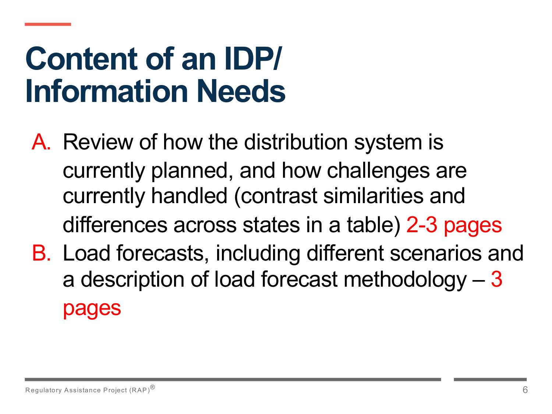#### **Content of an IDP/ Information Needs**

- A. Review of how the distribution system is currently planned, and how challenges are currently handled (contrast similarities and differences across states in a table) 2-3 pages
- B. Load forecasts, including different scenarios and a description of load forecast methodology – 3 pages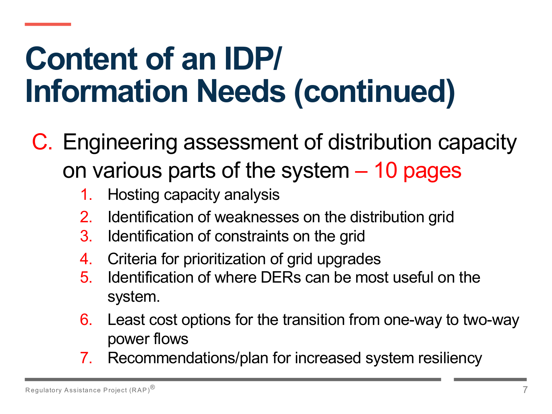- C. Engineering assessment of distribution capacity on various parts of the system – 10 pages
	- 1. Hosting capacity analysis
	- 2. Identification of weaknesses on the distribution grid
	- 3. Identification of constraints on the grid
	- 4. Criteria for prioritization of grid upgrades
	- 5. Identification of where DERs can be most useful on the system.
	- 6. Least cost options for the transition from one-way to two-way power flows
	- 7. Recommendations/plan for increased system resiliency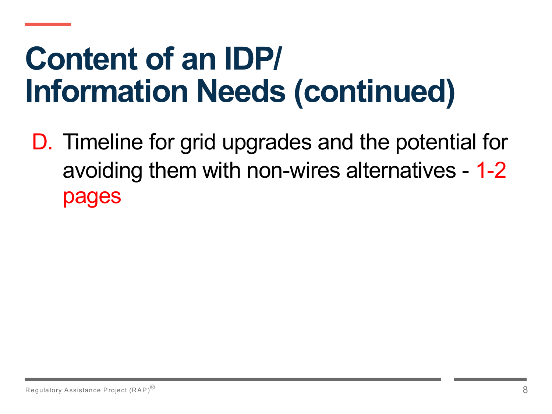D. Timeline for grid upgrades and the potential for avoiding them with non-wires alternatives - 1-2 pages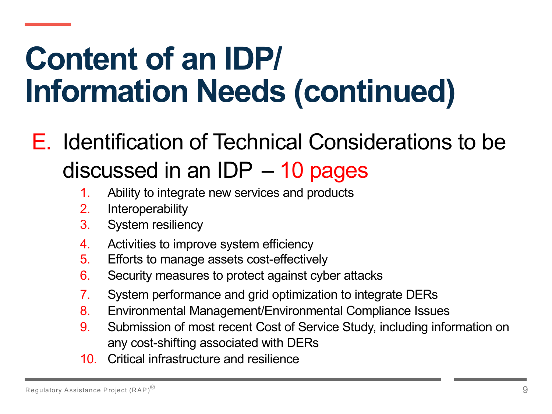#### E. Identification of Technical Considerations to be discussed in an IDP – 10 pages

- 1. Ability to integrate new services and products
- 2. Interoperability
- 3. System resiliency
- 4. Activities to improve system efficiency
- 5. Efforts to manage assets cost-effectively
- 6. Security measures to protect against cyber attacks
- 7. System performance and grid optimization to integrate DERs
- 8. Environmental Management/Environmental Compliance Issues
- 9. Submission of most recent Cost of Service Study, including information on any cost-shifting associated with DERs
- 10. Critical infrastructure and resilience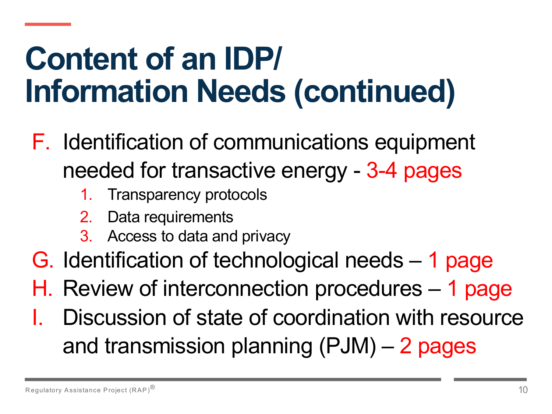- F. Identification of communications equipment needed for transactive energy - 3-4 pages
	- 1. Transparency protocols
	- 2. Data requirements
	- 3. Access to data and privacy
- G. Identification of technological needs 1 page
- H. Review of interconnection procedures 1 page
- Discussion of state of coordination with resource and transmission planning (PJM) – 2 pages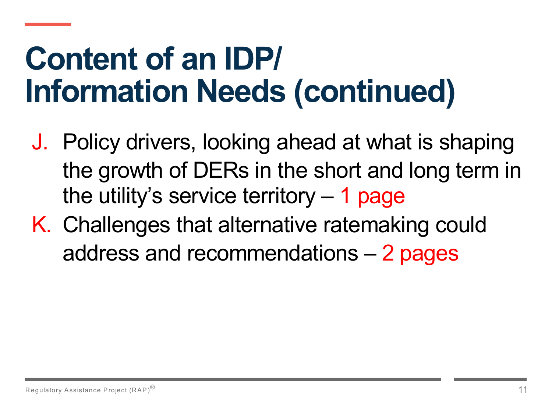- J. Policy drivers, looking ahead at what is shaping the growth of DERs in the short and long term in the utility's service territory – 1 page
- K. Challenges that alternative ratemaking could address and recommendations – 2 pages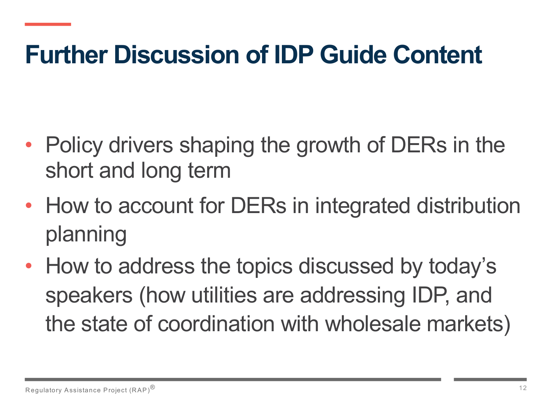#### **Further Discussion of IDP Guide Content**

- Policy drivers shaping the growth of DERs in the short and long term
- How to account for DERs in integrated distribution planning
- How to address the topics discussed by today's speakers (how utilities are addressing IDP, and the state of coordination with wholesale markets)